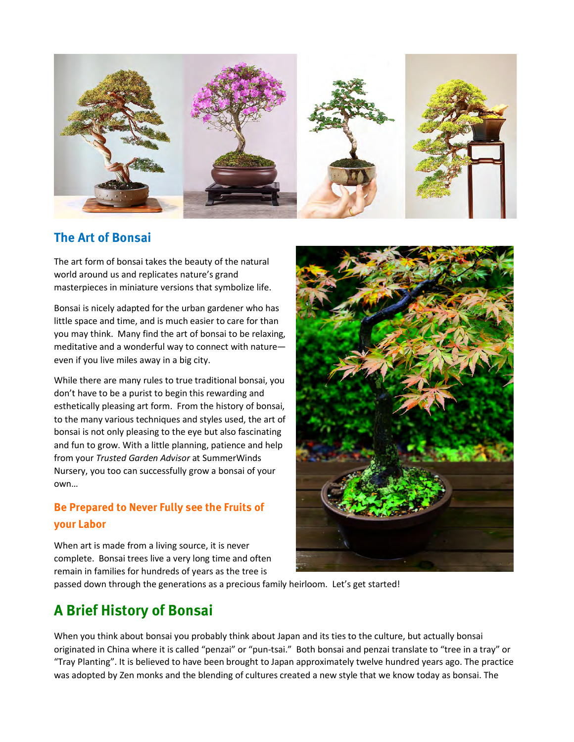

### **The Art of Bonsai**

The art form of bonsai takes the beauty of the natural world around us and replicates nature's grand masterpieces in miniature versions that symbolize life.

Bonsai is nicely adapted for the urban gardener who has little space and time, and is much easier to care for than you may think. Many find the art of bonsai to be relaxing, meditative and a wonderful way to connect with nature even if you live miles away in a big city.

While there are many rules to true traditional bonsai, you don't have to be a purist to begin this rewarding and esthetically pleasing art form. From the history of bonsai, to the many various techniques and styles used, the art of bonsai is not only pleasing to the eye but also fascinating and fun to grow. With a little planning, patience and help from your *Trusted Garden Advisor* at SummerWinds Nursery, you too can successfully grow a bonsai of your own…

## **Be Prepared to Never Fully see the Fruits of your Labor**

When art is made from a living source, it is never complete. Bonsai trees live a very long time and often remain in families for hundreds of years as the tree is passed down through the generations as a precious family heirloom. Let's get started!

# **A Brief History of Bonsai**

When you think about bonsai you probably think about Japan and its ties to the culture, but actually bonsai originated in China where it is called "penzai" or "pun-tsai." Both bonsai and penzai translate to "tree in a tray" or "Tray Planting". It is believed to have been brought to Japan approximately twelve hundred years ago. The practice was adopted by Zen monks and the blending of cultures created a new style that we know today as bonsai. The

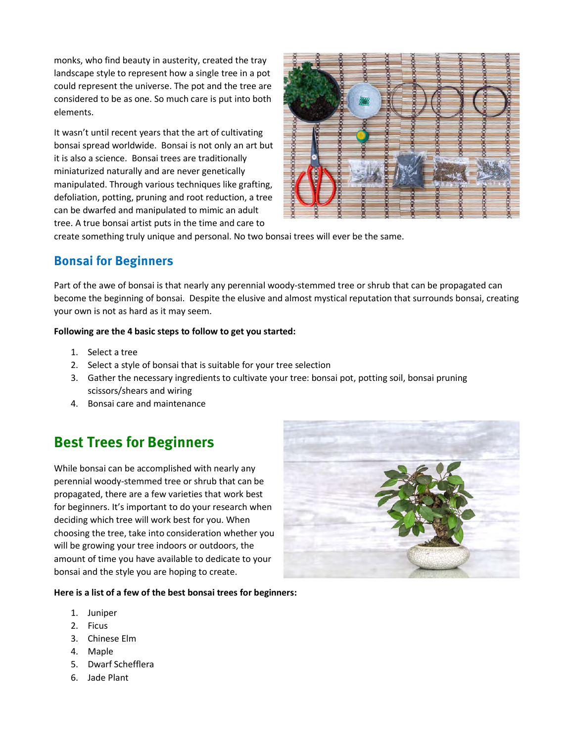monks, who find beauty in austerity, created the tray landscape style to represent how a single tree in a pot could represent the universe. The pot and the tree are considered to be as one. So much care is put into both elements.

It wasn't until recent years that the art of cultivating bonsai spread worldwide. Bonsai is not only an art but it is also a science. Bonsai trees are traditionally miniaturized naturally and are never genetically manipulated. Through various techniques like grafting, defoliation, potting, pruning and root reduction, a tree can be dwarfed and manipulated to mimic an adult tree. A true bonsai artist puts in the time and care to



create something truly unique and personal. No two bonsai trees will ever be the same.

## **Bonsai for Beginners**

Part of the awe of bonsai is that nearly any perennial woody-stemmed tree or shrub that can be propagated can become the beginning of bonsai. Despite the elusive and almost mystical reputation that surrounds bonsai, creating your own is not as hard as it may seem.

#### **Following are the 4 basic steps to follow to get you started:**

- 1. Select a tree
- 2. Select a style of bonsai that is suitable for your tree selection
- 3. Gather the necessary ingredients to cultivate your tree: bonsai pot, potting soil, bonsai pruning scissors/shears and wiring
- 4. Bonsai care and maintenance

# **Best Trees for Beginners**

While bonsai can be accomplished with nearly any perennial woody-stemmed tree or shrub that can be propagated, there are a few varieties that work best for beginners. It's important to do your research when deciding which tree will work best for you. When choosing the tree, take into consideration whether you will be growing your tree indoors or outdoors, the amount of time you have available to dedicate to your bonsai and the style you are hoping to create.



#### **Here is a list of a few of the best bonsai trees for beginners:**

- 1. Juniper
- 2. Ficus
- 3. Chinese Elm
- 4. Maple
- 5. Dwarf Schefflera
- 6. Jade Plant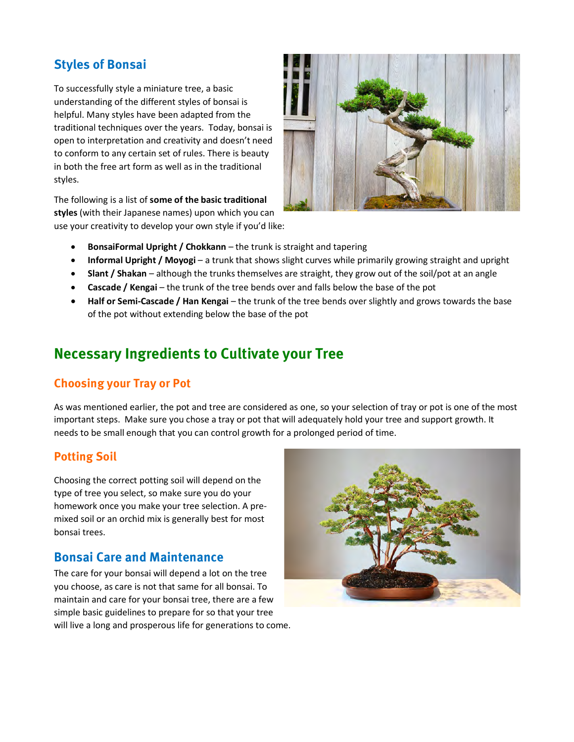# **Styles of Bonsai**

To successfully style a miniature tree, a basic understanding of the different styles of bonsai is helpful. Many styles have been adapted from the traditional techniques over the years. Today, bonsai is open to interpretation and creativity and doesn't need to conform to any certain set of rules. There is beauty in both the free art form as well as in the traditional styles.

The following is a list of **some of the basic traditional styles** (with their Japanese names) upon which you can use your creativity to develop your own style if you'd like:



- **BonsaiFormal Upright / Chokkann** the trunk is straight and tapering
- **Informal Upright / Moyogi** a trunk that shows slight curves while primarily growing straight and upright
- **Slant / Shakan** although the trunks themselves are straight, they grow out of the soil/pot at an angle
- **Cascade / Kengai** the trunk of the tree bends over and falls below the base of the pot
- **Half or Semi-Cascade / Han Kengai**  the trunk of the tree bends over slightly and grows towards the base of the pot without extending below the base of the pot

# **Necessary Ingredients to Cultivate your Tree**

## **Choosing your Tray or Pot**

As was mentioned earlier, the pot and tree are considered as one, so your selection of tray or pot is one of the most important steps. Make sure you chose a tray or pot that will adequately hold your tree and support growth. It needs to be small enough that you can control growth for a prolonged period of time.

#### **Potting Soil**

Choosing the correct potting soil will depend on the type of tree you select, so make sure you do your homework once you make your tree selection. A premixed soil or an orchid mix is generally best for most bonsai trees.

## **Bonsai Care and Maintenance**

The care for your bonsai will depend a lot on the tree you choose, as care is not that same for all bonsai. To maintain and care for your bonsai tree, there are a few simple basic guidelines to prepare for so that your tree will live a long and prosperous life for generations to come.